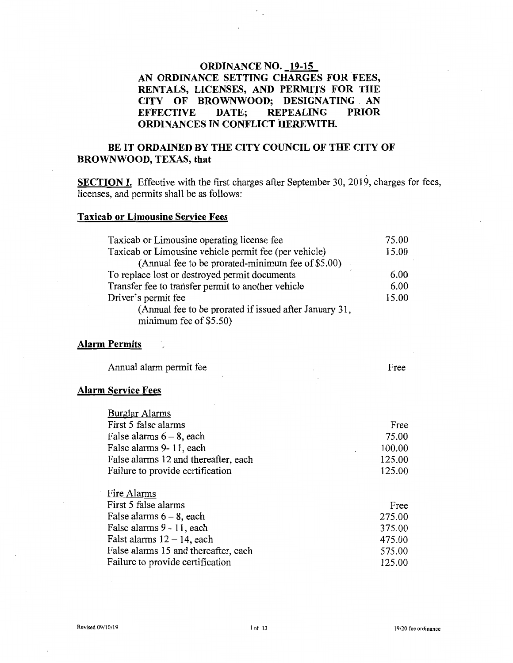### **ORDINANCE NO. 19-15 AN ORDINANCE SETTING CHARGES FOR FEES, RENTALS, LICENSES, AND PERMITS FOR THE CITY OF BROWNWOOD; DESIGNATING AN EFFECTIVE DATE: REPEALING PRIOR REPEALING ORDINANCES IN CONFLICT HEREWITH.**

### BE IT ORDAINED BY THE CITY COUNCIL OF THE CITY OF **BROWNWOOD, TEXAS, that**

**SECTION I.** Effective with the first charges after September 30, 2019, charges for fees, licenses, and permits shall be as follows:

### **Taxicab or Limousine Service Fees**

| Taxicab or Limousine operating license fee                  | 75.00 |
|-------------------------------------------------------------|-------|
| Taxicab or Limousine vehicle permit fee (per vehicle)       | 15.00 |
| (Annual fee to be prorated-minimum fee of \$5.00)<br>$\sim$ |       |
| To replace lost or destroyed permit documents               | 6.00  |
| Transfer fee to transfer permit to another vehicle          | 6.00  |
| Driver's permit fee                                         | 15.00 |
| (Annual fee to be prorated if issued after January 31,      |       |
| minimum fee of \$5.50)                                      |       |

### **Alarm Permits**

| Annual alarm permit fee |  | Free |
|-------------------------|--|------|
|-------------------------|--|------|

#### **Alarm Service Fees**

| <b>Burglar Alarms</b>                |        |
|--------------------------------------|--------|
| First 5 false alarms                 | Free   |
| False alarms $6 - 8$ , each          | 75.00  |
| False alarms 9-11, each              | 100.00 |
| False alarms 12 and thereafter, each | 125.00 |
| Failure to provide certification     | 125.00 |
|                                      |        |
| Fire Alarms                          |        |
| First 5 false alarms                 | Free   |
| False alarms $6-8$ , each            | 275.00 |
| False alarms 9 - 11, each            | 375.00 |
| Falst alarms $12 - 14$ , each        | 475.00 |
| False alarms 15 and thereafter, each | 575.00 |
| Failure to provide certification     | 125.00 |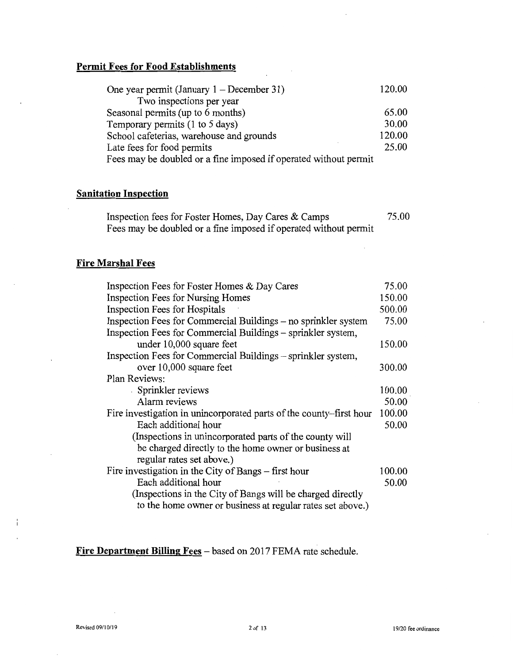## **Permit Fees for Food Establishments**

| One year permit (January $1 -$ December 31)                      | 120.00 |
|------------------------------------------------------------------|--------|
| Two inspections per year                                         |        |
| Seasonal permits (up to 6 months)                                | 65.00  |
| Temporary permits (1 to 5 days)                                  | 30.00  |
| School cafeterias, warehouse and grounds                         | 120.00 |
| Late fees for food permits                                       | 25.00  |
| Fees may be doubled or a fine imposed if operated without permit |        |

### **Sanitation Inspection**

| Inspection fees for Foster Homes, Day Cares & Camps              | 75.00 |
|------------------------------------------------------------------|-------|
| Fees may be doubled or a fine imposed if operated without permit |       |

## **Fire Marshal Fees**

| Inspection Fees for Foster Homes & Day Cares                        | 75.00  |
|---------------------------------------------------------------------|--------|
| Inspection Fees for Nursing Homes                                   | 150.00 |
| <b>Inspection Fees for Hospitals</b>                                | 500.00 |
| Inspection Fees for Commercial Buildings – no sprinkler system      | 75.00  |
| Inspection Fees for Commercial Buildings – sprinkler system,        |        |
| under 10,000 square feet                                            | 150.00 |
| Inspection Fees for Commercial Buildings - sprinkler system,        |        |
| over 10,000 square feet                                             | 300.00 |
| Plan Reviews:                                                       |        |
| Sprinkler reviews                                                   | 100.00 |
| Alarm reviews                                                       | 50.00  |
| Fire investigation in unincorporated parts of the county-first hour | 100.00 |
| Each additional hour                                                | 50.00  |
| (Inspections in unincorporated parts of the county will             |        |
| be charged directly to the home owner or business at                |        |
| regular rates set above.)                                           |        |
| Fire investigation in the City of Bangs – first hour                | 100.00 |
| Each additional hour                                                | 50.00  |
| (Inspections in the City of Bangs will be charged directly          |        |
| to the home owner or business at regular rates set above.)          |        |

## **Fire Department Billing Fees** – based on 2017 FEMA rate schedule.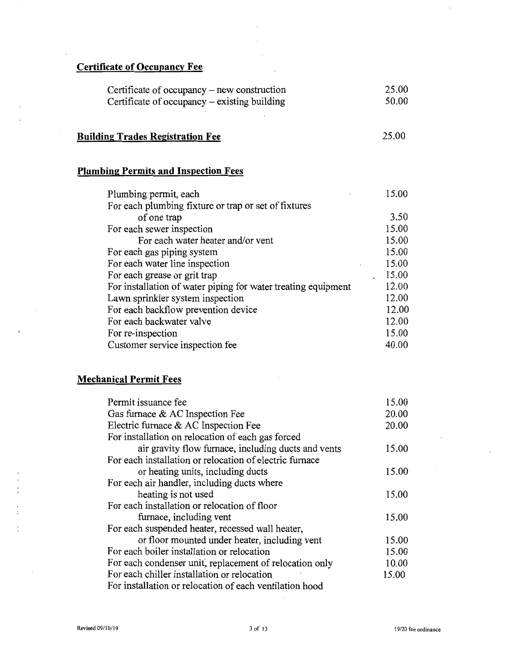## **Certificate of Occupancy Fee**

| Certificate of occupancy – new construction  | 25.00 |
|----------------------------------------------|-------|
| Certificate of occupancy – existing building | 50.00 |

# **Building Trades Registration Fee**

25.00

## **Plumbing Permits and Inspection Fees**

| Plumbing permit, each                                         | 15.00 |
|---------------------------------------------------------------|-------|
| For each plumbing fixture or trap or set of fixtures          |       |
| of one trap                                                   | 3.50  |
| For each sewer inspection                                     | 15.00 |
| For each water heater and/or vent                             | 15.00 |
| For each gas piping system                                    | 15.00 |
| For each water line inspection                                | 15.00 |
| For each grease or grit trap                                  | 15.00 |
| For installation of water piping for water treating equipment | 12.00 |
| Lawn sprinkler system inspection                              | 12.00 |
| For each backflow prevention device                           | 12.00 |
| For each backwater valve                                      | 12.00 |
| For re-inspection                                             | 15.00 |
| Customer service inspection fee                               | 40.00 |

 $\overline{\phantom{a}}$ 

# **Mechanical Permit Fees**

| Permit issuance fee                                     | 15.00 |
|---------------------------------------------------------|-------|
| Gas furnace & AC Inspection Fee                         | 20.00 |
| Electric furnace & AC Inspection Fee                    | 20.00 |
| For installation on relocation of each gas forced       |       |
| air gravity flow furnace, including ducts and vents     | 15.00 |
| For each installation or relocation of electric furnace |       |
| or heating units, including ducts                       | 15.00 |
| For each air handler, including ducts where             |       |
| heating is not used                                     | 15.00 |
| For each installation or relocation of floor            |       |
| furnace, including vent                                 | 15.00 |
| For each suspended heater, recessed wall heater,        |       |
| or floor mounted under heater, including vent           | 15.00 |
| For each boiler installation or relocation              | 15.00 |
| For each condenser unit, replacement of relocation only | 10.00 |
| For each chiller installation or relocation             | 15.00 |
| For installation or relocation of each ventilation hood |       |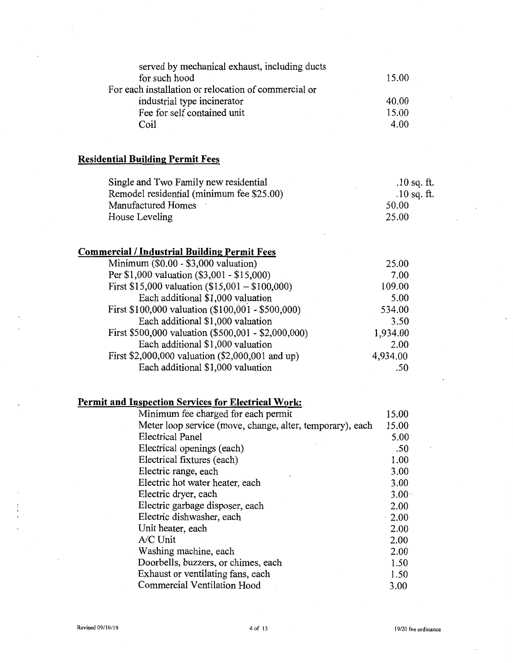| served by mechanical exhaust, including ducts        |       |
|------------------------------------------------------|-------|
| for such hood                                        | 15.00 |
| For each installation or relocation of commercial or |       |
| industrial type incinerator                          | 40.00 |
| Fee for self contained unit                          | 15.00 |
| Coil                                                 | 4.00  |
|                                                      |       |

# **Residential Building Permit** Fees

| Single and Two Family new residential     | $.10$ sq. ft. |
|-------------------------------------------|---------------|
| Remodel residential (minimum fee \$25.00) | .10 sq. ft.   |
| Manufactured Homes                        | 50.00         |
| House Leveling                            | 25.00         |

## **Commercial I Industrial Building Permit** Fees

| Minimum (\$0.00 - \$3,000 valuation)                | 25.00    |
|-----------------------------------------------------|----------|
| Per \$1,000 valuation (\$3,001 - \$15,000)          | 7.00     |
| First \$15,000 valuation $(\$15,001 - \$100,000)$   | 109.00   |
| Each additional \$1,000 valuation                   | 5.00     |
| First \$100,000 valuation (\$100,001 - \$500,000)   | 534.00   |
| Each additional \$1,000 valuation                   | 3.50     |
| First \$500,000 valuation (\$500,001 - \$2,000,000) | 1,934.00 |
| Each additional \$1,000 valuation                   | 2.00     |
| First \$2,000,000 valuation (\$2,000,001 and up)    | 4,934.00 |
| Each additional \$1,000 valuation                   | .50      |

## **Permit and Inspection** Services **for Electrical Work:** .

| Minimum fee charged for each permit                       | 15.00             |
|-----------------------------------------------------------|-------------------|
| Meter loop service (move, change, alter, temporary), each | 15.00             |
| <b>Electrical Panel</b>                                   | 5.00              |
| Electrical openings (each)                                | .50               |
| Electrical fixtures (each)                                | 1.00              |
| Electric range, each                                      | 3.00              |
| Electric hot water heater, each                           | 3.00              |
| Electric dryer, each                                      | 3.00 <sub>1</sub> |
| Electric garbage disposer, each                           | 2.00              |
| Electric dishwasher, each                                 | $\cdot$ 2.00      |
| Unit heater, each                                         | 2.00              |
| A/C Unit                                                  | 2.00              |
| Washing machine, each                                     | 2.00              |
| Doorbells, buzzers, or chimes, each                       | 1.50              |
| Exhaust or ventilating fans, each                         | 1.50              |
| Commercial Ventilation Hood                               | 3.00              |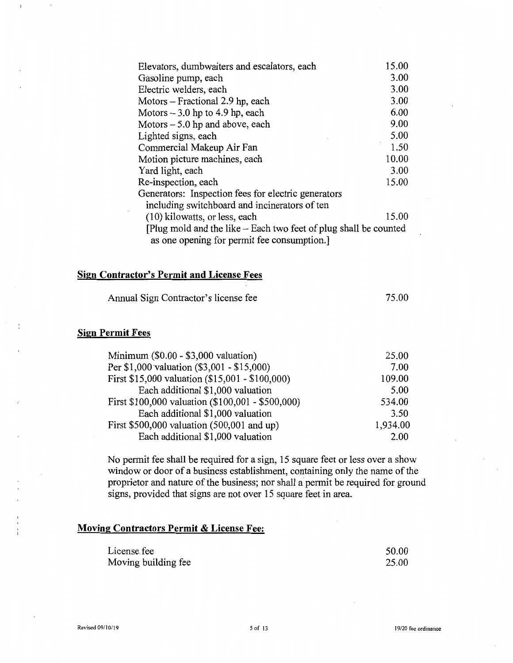| Elevators, dumbwaiters and escalators, each                      | 15.00 |
|------------------------------------------------------------------|-------|
| Gasoline pump, each                                              | 3.00  |
| Electric welders, each                                           | 3.00  |
| Motors – Fractional 2.9 hp, each                                 | 3.00  |
| Motors $-3.0$ hp to 4.9 hp, each                                 | 6.00  |
| Motors $-5.0$ hp and above, each                                 | 9.00  |
| Lighted signs, each                                              | 5.00  |
| Commercial Makeup Air Fan                                        | 1.50  |
| Motion picture machines, each                                    | 10.00 |
| Yard light, each                                                 | 3.00  |
| Re-inspection, each                                              | 15.00 |
| Generators: Inspection fees for electric generators              |       |
| including switchboard and incinerators of ten                    |       |
| (10) kilowatts, or less, each                                    | 15.00 |
| [Plug mold and the like – Each two feet of plug shall be counted |       |
| as one opening for permit fee consumption.                       |       |

### **Sign Contractor's Permit and License Fees**

Annual Sign Contractor's license fee

75.00

### **Sign Permit Fees**

| Minimum $(\$0.00 - \$3,000$ valuation)            | 25.00    |
|---------------------------------------------------|----------|
| Per \$1,000 valuation (\$3,001 - \$15,000)        | 7.00     |
| First \$15,000 valuation (\$15,001 - \$100,000)   | 109.00   |
| Each additional \$1,000 valuation                 | 5.00     |
| First \$100,000 valuation (\$100,001 - \$500,000) | 534.00   |
| Each additional \$1,000 valuation                 | 3.50     |
| First $$500,000$ valuation $(500,001$ and up)     | 1,934.00 |
| Each additional \$1,000 valuation                 | 2.00     |

No permit fee shall be required for a sign, 15 square feet or less over a show window or door of a business establishment, containing only the name of the proprietor and nature of the business; nor shall a permit be required for ground signs, provided that signs are not over 15 square feet in area.

### **Moving Contractors Permit & License Fee:**

| License fee         | 50.00 |
|---------------------|-------|
| Moving building fee | 25.00 |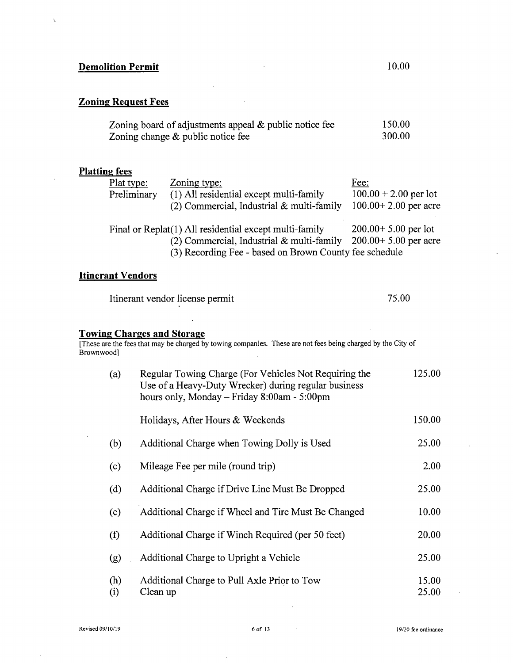### Zoning Request Fees

| Zoning board of adjustments appeal $\&$ public notice fee | 150.00 |
|-----------------------------------------------------------|--------|
| Zoning change $\&$ public notice fee                      | 300.00 |

### Platting fees

| Plat type:  | Zoning type:                                           | Fee:                     |
|-------------|--------------------------------------------------------|--------------------------|
| Preliminary | (1) All residential except multi-family                | $100.00 + 2.00$ per lot  |
|             | $(2)$ Commercial, Industrial & multi-family            | $100.00 + 2.00$ per acre |
|             | Final or Replat(1) All residential except multi-family | $200.00 + 5.00$ per lot  |
|             | $(2)$ Commercial, Industrial & multi-family            | $200.00+5.00$ per acre   |
|             | (3) Recording Fee - based on Brown County fee schedule |                          |

### **Itinerant Vendors**

| Itinerant vendor license permit | 75.00 |
|---------------------------------|-------|
|                                 |       |

### Towing Charges and Storage

[These are the fees that may be charged by towing companies. These are not fees being charged by the City of Brownwood]

| (a)        | Regular Towing Charge (For Vehicles Not Requiring the<br>Use of a Heavy-Duty Wrecker) during regular business<br>hours only, Monday $-$ Friday 8:00am - 5:00pm | 125.00         |
|------------|----------------------------------------------------------------------------------------------------------------------------------------------------------------|----------------|
|            | Holidays, After Hours & Weekends                                                                                                                               | 150.00         |
| (b)        | Additional Charge when Towing Dolly is Used                                                                                                                    | 25.00          |
| (c)        | Mileage Fee per mile (round trip)                                                                                                                              | 2.00           |
| (d)        | Additional Charge if Drive Line Must Be Dropped                                                                                                                | 25.00          |
| (e)        | Additional Charge if Wheel and Tire Must Be Changed                                                                                                            | 10.00          |
| (f)        | Additional Charge if Winch Required (per 50 feet)                                                                                                              | 20.00          |
| (g)        | Additional Charge to Upright a Vehicle                                                                                                                         | 25.00          |
| (h)<br>(i) | Additional Charge to Pull Axle Prior to Tow<br>Clean up                                                                                                        | 15.00<br>25.00 |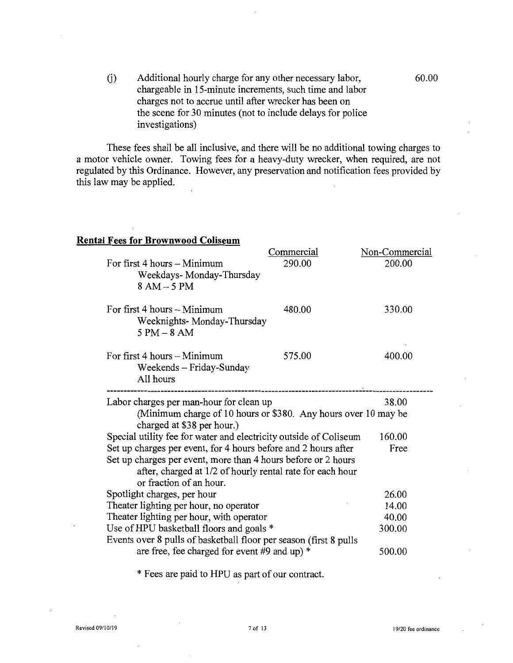Additional hourly charge for any other necessary labor,  $(j)$ chargeable in 15-minute increments, such time and labor charges not to accrue until after wrecker has been on the scene for 30 minutes (not to include delays for police investigations)

These fees shall be all inclusive, and there will be no additional towing charges to a motor vehicle owner. Towing fees for a heavy-duty wrecker, when required, are not regulated by this Ordinance. However, any preservation and notification fees provided by this law may be applied.

### **Rental Fees for Brownwood Coliseum**

|                                                                                              | Commercial | Non-Commercial |
|----------------------------------------------------------------------------------------------|------------|----------------|
| For first 4 hours - Minimum<br>Weekdays-Monday-Thursday<br>$8 AM - 5 PM$                     | 290.00     | 200.00         |
| For first 4 hours – Minimum<br>Weeknights- Monday-Thursday<br>$5 PM - 8 AM$                  | 480.00     | 330.00         |
| For first 4 hours $-$ Minimum<br>Weekends - Friday-Sunday<br>All hours                       | 575.00     | 400.00         |
| Labor charges per man-hour for clean up                                                      |            | 38.00          |
| (Minimum charge of 10 hours or \$380. Any hours over 10 may be<br>charged at \$38 per hour.) |            |                |
| Special utility fee for water and electricity outside of Coliseum                            |            | 160.00         |
| Set up charges per event, for 4 hours before and 2 hours after                               |            | Free           |
| Set up charges per event, more than 4 hours before or 2 hours                                |            |                |
| after, charged at 1/2 of hourly rental rate for each hour<br>or fraction of an hour.         |            |                |
| Spotlight charges, per hour                                                                  |            | 26.00          |
| Theater lighting per hour, no operator                                                       |            | 14.00          |
| Theater lighting per hour, with operator                                                     |            | 40.00          |
| Use of HPU basketball floors and goals *                                                     |            | 300.00         |
| Events over 8 pulls of basketball floor per season (first 8 pulls                            |            |                |
| are free, fee charged for event #9 and up) $*$                                               |            | 500.00         |

\* Fees are paid to HPU as part of our contract.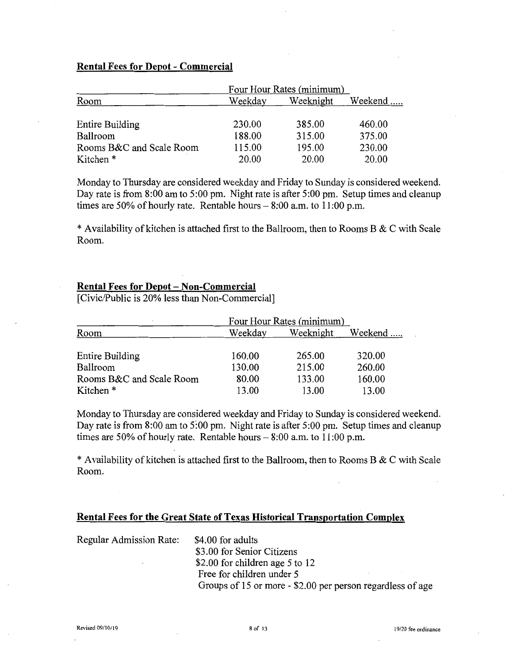### **Rental Fees for Depot - Commercial**

|                          | Four Hour Rates (minimum) |           |         |
|--------------------------|---------------------------|-----------|---------|
| Room                     | Weekday                   | Weeknight | Weekend |
|                          |                           |           |         |
| Entire Building          | 230.00                    | 385.00    | 460.00  |
| Ballroom                 | 188.00                    | 315.00    | 375.00  |
| Rooms B&C and Scale Room | 115.00                    | 195.00    | 230.00  |
| Kitchen *                | 20.00                     | 20.00     | 20.00   |

Monday to Thursday are considered weekday and Friday to Sunday is considered weekend. Day rate is from 8:00 am to 5:00 pm. Night rate is after 5:00 pm. Setup times and cleanup times are 50% of hourly rate. Rentable hours  $- 8:00$  a.m. to 11:00 p.m.

\* Availability of kitchen is attached first to the Ballroom, then to Rooms B & C with Scale Room.

### **Rental Fees for Depot - Non-Commercial**

[Civic/Public is 20% less than Non-Commercial]

|                          | Four Hour Rates (minimum) |           |         |
|--------------------------|---------------------------|-----------|---------|
| Room                     | Weekday                   | Weeknight | Weekend |
|                          |                           |           |         |
| Entire Building          | 160.00                    | 265.00    | 320.00  |
| Ballroom                 | 130.00                    | 215.00    | 260.00  |
| Rooms B&C and Scale Room | 80.00                     | 133.00    | 160.00  |
| Kitchen *                | 13.00                     | 13.00     | 13.00   |

Monday to Thursday are considered weekday and Friday to Sunday is considered weekend. Day rate is from 8:00 am to 5:00 pm. Night rate is after 5:00 pm. Setup times and cleanup times are 50% of hourly rate. Rentable hours  $- 8:00$  a.m. to 11:00 p.m.

\* Availability of kitchen is attached first to the Ballroom, then to Rooms B & C with Scale Room.

### **Rental Fees for the Great State of Texas Historical Transportation Complex**

| <b>Regular Admission Rate:</b> | \$4.00 for adults                                          |
|--------------------------------|------------------------------------------------------------|
|                                | \$3.00 for Senior Citizens                                 |
|                                | \$2.00 for children age 5 to 12                            |
|                                | Free for children under 5                                  |
|                                | Groups of 15 or more - \$2.00 per person regardless of age |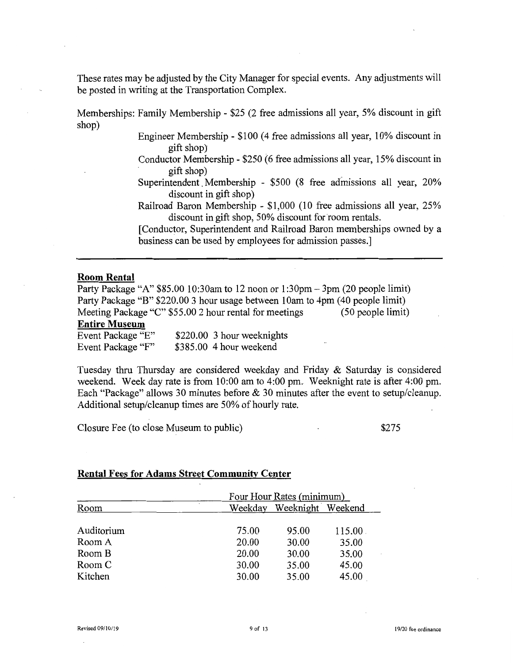These rates may be adjusted by the City Manager for special events. Any adjustments will be posted in writing at the Transportation Complex.

Memberships: Family Membership - \$25 (2 free admissions all year, 5% discount in gift shop)

Engineer Membership - \$100 (4 free admissions all year, 10% discount in gift shop)

- Conductor Membership \$250 (6 free admissions all year, 15% discount in gift shop)
- Superintendent. Membership \$500 (8 free admissions all year, 20% discount in gift shop)
- Railroad Baron Membership \$1,000 (10 free admissions all year, 25% discount in gift shop, 50% discount for room rentals.

[Conductor, Superintendent and Railroad Baron memberships owned by a business can be used by employees for admission passes.]

#### **Room Rental**

Party Package "A" \$85.00 10:30am to 12 noon or 1 :30pm - 3pm (20 people limit) Party Package "B" \$220.00 3 hour usage between 10am to 4pm (40 people limit)<br>Meeting Package "C" \$55.00 2 hour rental for meetings (50 people limit) Meeting Package "C" \$55.00 2 hour rental for meetings

#### **Entire Museum**

| Event Package "E" | \$220.00 3 hour weeknights |
|-------------------|----------------------------|
| Event Package "F" | $$385.00$ 4 hour weekend   |

Tuesday thru Thursday are considered weekday and Friday & Saturday is considered weekend. Week day rate is from 10:00 am to 4:00 pm. Weeknight rate is after 4:00 pm. Each "Package" allows 30 minutes before & 30 minutes after the event to setup/cleanup. Additional setup/cleanup times are 50% of hourly rate.

Closure Fee (to close Museum to public)

\$275

#### **Rental Fees for Adams Street Community Center**

|            |         | Four Hour Rates (minimum) |        |  |
|------------|---------|---------------------------|--------|--|
| Room       | Weekday | Weeknight Weekend         |        |  |
|            |         |                           |        |  |
| Auditorium | 75.00   | 95.00                     | 115.00 |  |
| Room A     | 20.00   | 30.00                     | 35.00  |  |
| Room B     | 20.00   | 30.00                     | 35.00  |  |
| Room C     | 30.00   | 35.00                     | 45.00  |  |
| Kitchen    | 30.00   | 35.00                     | 45.00  |  |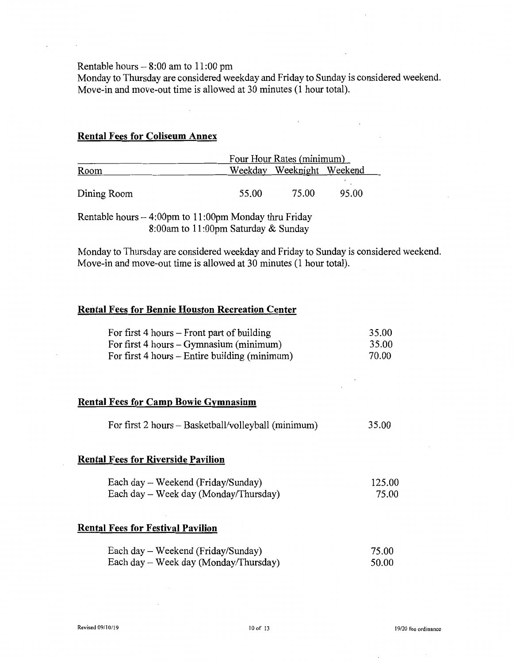Rentable hours  $-8:00$  am to 11:00 pm

Monday to Thursday are considered weekday and Friday to Sunday is considered weekend. Move-in and move-out time is allowed at 30 minutes (1 hour total).

### **Rental Fees for Coliseum Annex**

|             | Four Hour Rates (minimum) |                           |       |
|-------------|---------------------------|---------------------------|-------|
| Room        |                           | Weekday Weeknight Weekend |       |
|             |                           |                           |       |
| Dining Room | 55.00                     | 75.00                     | 95.00 |

Rentable hours  $-4:00$ pm to 11:00pm Monday thru Friday 8:00am to **11** :OOpm Saturday & Sunday

Monday to Thursday are considered weekday and Friday to Sunday is considered weekend. Move-in and move-out time is allowed at 30 minutes (1 hour total).

### **Rental Fees for Bennie Houston Recreation Center**

| For first $4$ hours $-$ Front part of building | 35.00 |
|------------------------------------------------|-------|
| For first $4$ hours $-$ Gymnasium (minimum)    | 35.00 |
| For first 4 hours – Entire building (minimum)  | 70.00 |

### **Rental Fees for Camp Bowie Gymnasium**

| For first 2 hours – Basketball/volleyball (minimum) |  | 35.00 |
|-----------------------------------------------------|--|-------|
|-----------------------------------------------------|--|-------|

#### **Rental Fees for Riverside Pavilion**

| Each day – Weekend (Friday/Sunday)    | 125.00 |
|---------------------------------------|--------|
| Each day – Week day (Monday/Thursday) | 75.00  |

### **Rental Fees for Festival Pavilion**

| Each day – Weekend (Friday/Sunday)    | 75.00 |
|---------------------------------------|-------|
| Each day – Week day (Monday/Thursday) | 50.00 |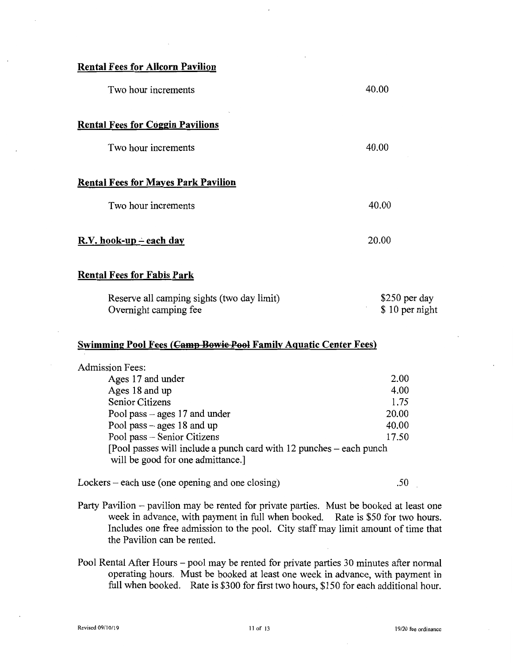| <b>Rental Fees for Allcorn Pavilion</b>    |       |
|--------------------------------------------|-------|
| Two hour increments                        | 40.00 |
| <b>Rental Fees for Coggin Pavilions</b>    |       |
| Two hour increments                        | 40.00 |
| <b>Rental Fees for Mayes Park Pavilion</b> |       |
| Two hour increments                        | 40.00 |
| $R.V.$ hook-up – each day                  | 20.00 |
| <b>Rental Fees for Fabis Park</b>          |       |

| Reserve all camping sights (two day limit) | $$250$ per day |
|--------------------------------------------|----------------|
| Overnight camping fee                      | \$10 per night |

## **Swimming Pool Fees (Camp Bowie Pool Family Aquatic Center Fees)**

| <b>Admission Fees:</b>                                                                                  |       |
|---------------------------------------------------------------------------------------------------------|-------|
| Ages 17 and under                                                                                       | 2.00  |
| Ages 18 and up                                                                                          | 4.00  |
| Senior Citizens                                                                                         | 1.75  |
| Pool pass $-$ ages 17 and under                                                                         | 20.00 |
| Pool pass $-$ ages 18 and up                                                                            | 40.00 |
| Pool pass - Senior Citizens                                                                             | 17.50 |
| [Pool passes will include a punch card with 12 punches – each punch<br>will be good for one admittance. |       |

Lockers – each use (one opening and one closing) .50

Party Pavilion – pavilion may be rented for private parties. Must be booked at least one week in advance, with payment in full when booked. Rate is \$50 for two hours. Includes one free admission to the pool. City staff may limit amount of time that the Pavilion can be rented.

Pool Rental After Hours – pool may be rented for private parties 30 minutes after normal operating hours. Must be booked at least one week in advance, with payment in full when booked. Rate is \$300 for first two hours, \$150 for each additional hour.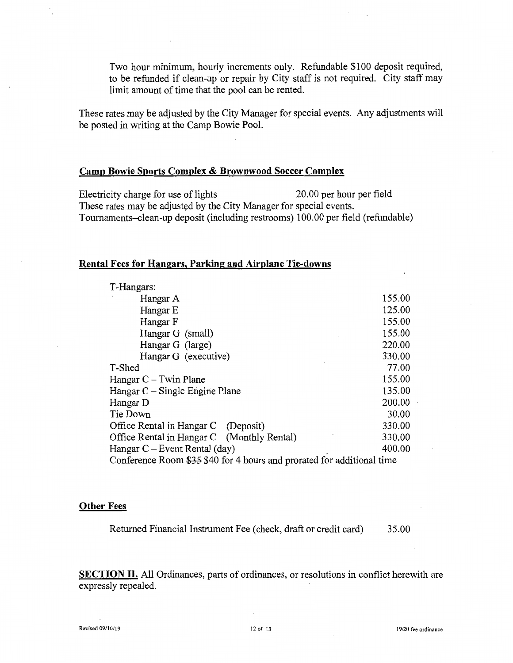Two hour minimum, hourly increments only. Refundable \$100 deposit required, to be refunded if clean-up or repair by City staff is not required. City staff may limit amount of time that the pool can be rented.

These rates may be adjusted by the City Manager for special events. Any adjustments will be posted in writing at the Camp Bowie Pool.

#### **Camp Bowie Sports Complex & Brownwood Soccer Complex**

Electricity charge for use of lights 20.00 per hour per field These rates may be adjusted by the City Manager for special events. Tournaments-clean-up deposit (including restrooms) 100.00 per field (refundable)

### **Rental Fees for Hangars, Parking and Airplane Tie-downs**

| T-Hangars:                                                             |        |  |
|------------------------------------------------------------------------|--------|--|
| Hangar A                                                               | 155.00 |  |
| Hangar E                                                               | 125.00 |  |
| Hangar F                                                               | 155.00 |  |
| Hangar G (small)                                                       | 155.00 |  |
| Hangar G (large)                                                       | 220.00 |  |
| Hangar G (executive)                                                   | 330.00 |  |
| T-Shed                                                                 | 77.00  |  |
| Hangar $C -$ Twin Plane                                                | 155.00 |  |
| Hangar $C -$ Single Engine Plane                                       | 135.00 |  |
| Hangar D                                                               | 200.00 |  |
| Tie Down                                                               | 30.00  |  |
| Office Rental in Hangar C (Deposit)                                    | 330.00 |  |
| Office Rental in Hangar C (Monthly Rental)                             | 330.00 |  |
| Hangar $C$ – Event Rental (day)                                        | 400.00 |  |
| Conference Room \$35 \$40 for 4 hours and prorated for additional time |        |  |

#### **Other Fees**

Returned Financial Instrument Fee (check, draft or credit card) 35.00

**SECTION II.** All Ordinances, parts of ordinances, or resolutions in conflict herewith are expressly repealed.